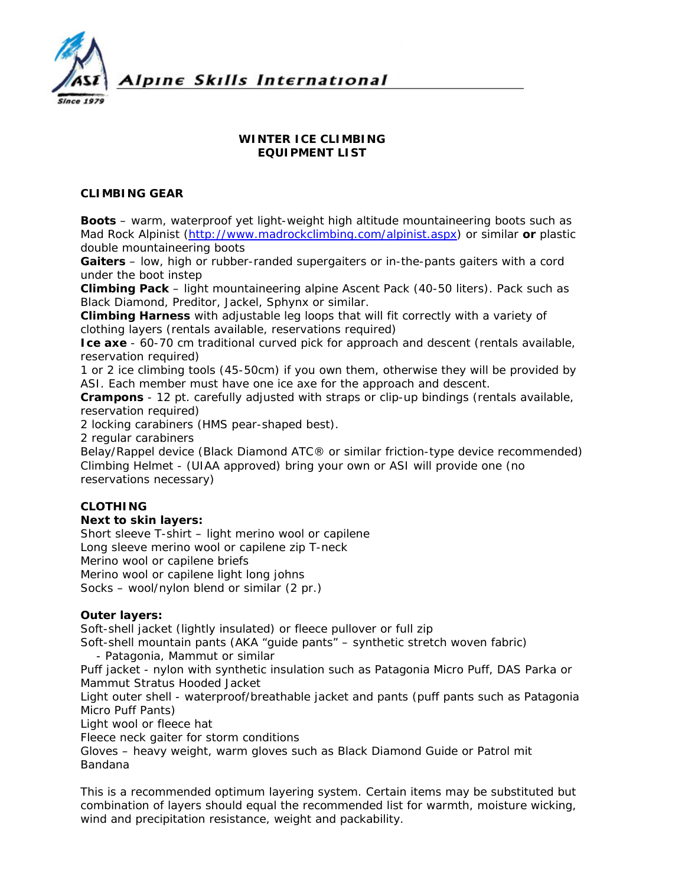

## **WINTER ICE CLIMBING EQUIPMENT LIST**

### **CLIMBING GEAR**

**Boots** – warm, waterproof yet light-weight high altitude mountaineering boots such as Mad Rock Alpinist ([http://www.madrockclimbing.com/alpinist.aspx\)](http://www.madrockclimbing.com/alpinist.aspx) or similar **or** plastic double mountaineering boots

**Gaiters** – low, high or rubber-randed supergaiters or in-the-pants gaiters with a cord under the boot instep

**Climbing Pack** – light mountaineering alpine Ascent Pack (40-50 liters). Pack such as Black Diamond, Preditor, Jackel, Sphynx or similar.

**Climbing Harness** with adjustable leg loops that will fit correctly with a variety of clothing layers (rentals available, reservations required)

**Ice axe** - 60-70 cm traditional curved pick for approach and descent (rentals available, reservation required)

1 or 2 ice climbing tools (45-50cm) if you own them, otherwise they will be provided by ASI. Each member must have one ice axe for the approach and descent.

**Crampons** - 12 pt. carefully adjusted with straps or clip-up bindings (rentals available, reservation required)

2 locking carabiners (HMS pear-shaped best).

2 regular carabiners

Belay/Rappel device (Black Diamond ATC® or similar friction-type device recommended) Climbing Helmet - (UIAA approved) bring your own or ASI will provide one (no reservations necessary)

## **CLOTHING**

#### **Next to skin layers:**

Short sleeve T-shirt – light merino wool or capilene Long sleeve merino wool or capilene zip T-neck Merino wool or capilene briefs Merino wool or capilene light long johns Socks – wool/nylon blend or similar (2 pr.)

#### **Outer layers:**

Soft-shell jacket (lightly insulated) or fleece pullover or full zip

Soft-shell mountain pants (AKA "guide pants" – synthetic stretch woven fabric)

- Patagonia, Mammut or similar

Puff jacket - nylon with synthetic insulation such as Patagonia Micro Puff, DAS Parka or Mammut Stratus Hooded Jacket

Light outer shell - waterproof/breathable jacket and pants (puff pants such as Patagonia Micro Puff Pants)

Light wool or fleece hat

Fleece neck gaiter for storm conditions

Gloves – heavy weight, warm gloves such as Black Diamond Guide or Patrol mit Bandana

*This is a recommended optimum layering system. Certain items may be substituted but combination of layers should equal the recommended list for warmth, moisture wicking, wind and precipitation resistance, weight and packability.*